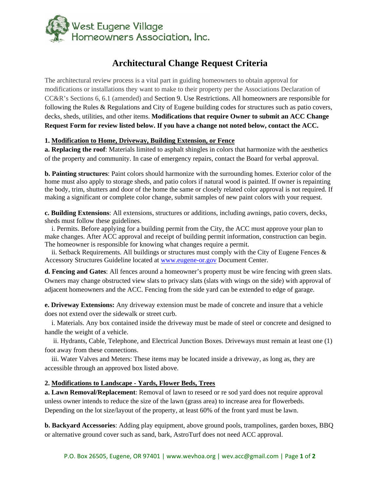

# **Architectural Change Request Criteria**

The architectural review process is a vital part in guiding homeowners to obtain approval for modifications or installations they want to make to their property per the Associations Declaration of CC&R's Sections 6, 6.1 (amended) and Section 9. Use Restrictions. All homeowners are responsible for following the Rules & Regulations and City of Eugene building codes for structures such as patio covers, decks, sheds, utilities, and other items. **Modifications that require Owner to submit an ACC Change Request Form for review listed below. If you have a change not noted below, contact the ACC.**

### **1. Modification to Home, Driveway, Building Extension, or Fence**

**a. Replacing the roof**: Materials limited to asphalt shingles in colors that harmonize with the aesthetics of the property and community. In case of emergency repairs, contact the Board for verbal approval.

**b. Painting structures**: Paint colors should harmonize with the surrounding homes. Exterior color of the home must also apply to storage sheds, and patio colors if natural wood is painted. If owner is repainting the body, trim, shutters and door of the home the same or closely related color approval is not required. If making a significant or complete color change, submit samples of new paint colors with your request.

**c. Building Extensions**: All extensions, structures or additions, including awnings, patio covers, decks, sheds must follow these guidelines.

 i. Permits. Before applying for a building permit from the City, the ACC must approve your plan to make changes. After ACC approval and receipt of building permit information, construction can begin. The homeowner is responsible for knowing what changes require a permit.

ii. Setback Requirements. All buildings or structures must comply with the City of Eugene Fences  $\&$ Accessory Structures Guideline located at www.eugene-or.gov Document Center.

**d. Fencing and Gates**: All fences around a homeowner's property must be wire fencing with green slats. Owners may change obstructed view slats to privacy slats (slats with wings on the side) with approval of adjacent homeowners and the ACC. Fencing from the side yard can be extended to edge of garage.

**e. Driveway Extensions:** Any driveway extension must be made of concrete and insure that a vehicle does not extend over the sidewalk or street curb.

 i. Materials. Any box contained inside the driveway must be made of steel or concrete and designed to handle the weight of a vehicle.

 ii. Hydrants, Cable, Telephone, and Electrical Junction Boxes. Driveways must remain at least one (1) foot away from these connections.

 iii. Water Valves and Meters: These items may be located inside a driveway, as long as, they are accessible through an approved box listed above.

### **2. Modifications to Landscape - Yards, Flower Beds, Trees**

**a. Lawn Removal/Replacement**: Removal of lawn to reseed or re sod yard does not require approval unless owner intends to reduce the size of the lawn (grass area) to increase area for flowerbeds. Depending on the lot size/layout of the property, at least 60% of the front yard must be lawn.

**b. Backyard Accessories**: Adding play equipment, above ground pools, trampolines, garden boxes, BBQ or alternative ground cover such as sand, bark, AstroTurf does not need ACC approval.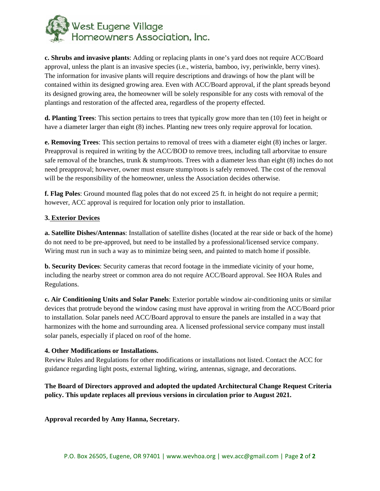

**c. Shrubs and invasive plants**: Adding or replacing plants in one's yard does not require ACC/Board approval, unless the plant is an invasive species (i.e., wisteria, bamboo, ivy, periwinkle, berry vines). The information for invasive plants will require descriptions and drawings of how the plant will be contained within its designed growing area. Even with ACC/Board approval, if the plant spreads beyond its designed growing area, the homeowner will be solely responsible for any costs with removal of the plantings and restoration of the affected area, regardless of the property effected.

**d. Planting Trees**: This section pertains to trees that typically grow more than ten (10) feet in height or have a diameter larger than eight (8) inches. Planting new trees only require approval for location.

**e. Removing Trees**: This section pertains to removal of trees with a diameter eight (8) inches or larger. Preapproval is required in writing by the ACC/BOD to remove trees, including tall arborvitae to ensure safe removal of the branches, trunk & stump/roots. Trees with a diameter less than eight (8) inches do not need preapproval; however, owner must ensure stump/roots is safely removed. The cost of the removal will be the responsibility of the homeowner, unless the Association decides otherwise.

**f. Flag Poles**: Ground mounted flag poles that do not exceed 25 ft. in height do not require a permit; however, ACC approval is required for location only prior to installation.

### **3. Exterior Devices**

**a. Satellite Dishes/Antennas**: Installation of satellite dishes (located at the rear side or back of the home) do not need to be pre-approved, but need to be installed by a professional/licensed service company. Wiring must run in such a way as to minimize being seen, and painted to match home if possible.

**b. Security Devices**: Security cameras that record footage in the immediate vicinity of your home, including the nearby street or common area do not require ACC/Board approval. See HOA Rules and Regulations.

**c. Air Conditioning Units and Solar Panels**: Exterior portable window air-conditioning units or similar devices that protrude beyond the window casing must have approval in writing from the ACC/Board prior to installation. Solar panels need ACC/Board approval to ensure the panels are installed in a way that harmonizes with the home and surrounding area. A licensed professional service company must install solar panels, especially if placed on roof of the home.

### **4. Other Modifications or Installations.**

Review Rules and Regulations for other modifications or installations not listed. Contact the ACC for guidance regarding light posts, external lighting, wiring, antennas, signage, and decorations.

**The Board of Directors approved and adopted the updated Architectural Change Request Criteria policy. This update replaces all previous versions in circulation prior to August 2021.** 

**Approval recorded by Amy Hanna, Secretary.**